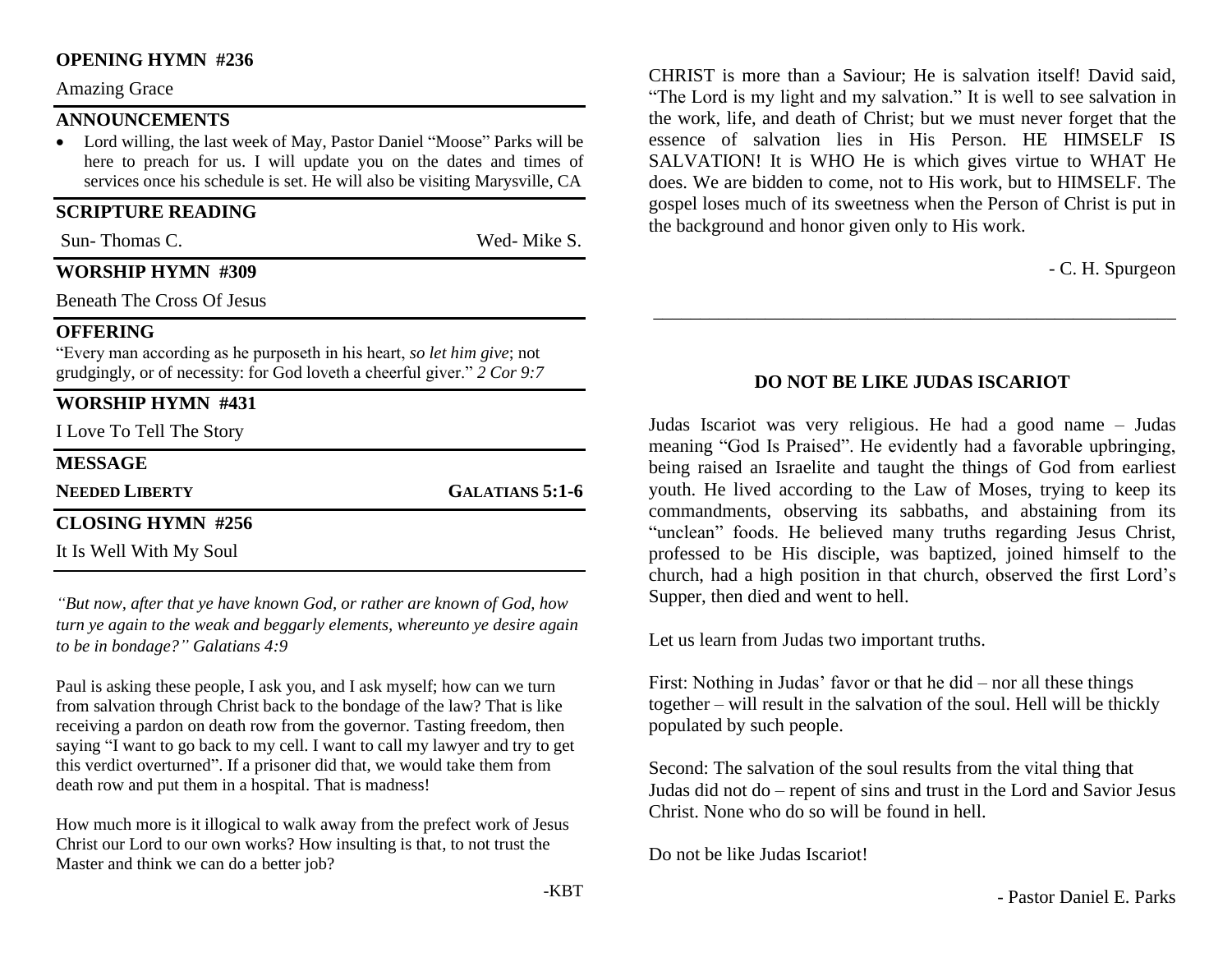### **OPENING HYMN #236**

Amazing Grace

#### **ANNOUNCEMENTS**

• Lord willing, the last week of May, Pastor Daniel "Moose" Parks will be here to preach for us. I will update you on the dates and times of services once his schedule is set. He will also be visiting Marysville, CA

#### **SCRIPTURE READING**

Sun- Thomas C. Wed- Mike S.

#### **WORSHIP HYMN #309**

Beneath The Cross Of Jesus

#### **OFFERING**

"Every man according as he purposeth in his heart, *so let him give*; not grudgingly, or of necessity: for God loveth a cheerful giver." *2 Cor 9:7*

## **WORSHIP HYMN #431**

I Love To Tell The Story

#### **MESSAGE**

**NEEDED LIBERTY GALATIANS 5:1-6**

#### **CLOSING HYMN #256**

It Is Well With My Soul

*"But now, after that ye have known God, or rather are known of God, how turn ye again to the weak and beggarly elements, whereunto ye desire again to be in bondage?" Galatians 4:9*

Paul is asking these people, I ask you, and I ask myself; how can we turn from salvation through Christ back to the bondage of the law? That is like receiving a pardon on death row from the governor. Tasting freedom, then saying "I want to go back to my cell. I want to call my lawyer and try to get this verdict overturned". If a prisoner did that, we would take them from death row and put them in a hospital. That is madness!

How much more is it illogical to walk away from the prefect work of Jesus Christ our Lord to our own works? How insulting is that, to not trust the Master and think we can do a better job?

CHRIST is more than a Saviour; He is salvation itself! David said, "The Lord is my light and my salvation." It is well to see salvation in the work, life, and death of Christ; but we must never forget that the essence of salvation lies in His Person. HE HIMSELF IS SALVATION! It is WHO He is which gives virtue to WHAT He does. We are bidden to come, not to His work, but to HIMSELF. The gospel loses much of its sweetness when the Person of Christ is put in the background and honor given only to His work.

- C. H. Spurgeon

#### **DO NOT BE LIKE JUDAS ISCARIOT**

\_\_\_\_\_\_\_\_\_\_\_\_\_\_\_\_\_\_\_\_\_\_\_\_\_\_\_\_\_\_\_\_\_\_\_\_\_\_\_\_\_\_\_\_\_\_\_\_\_\_\_\_\_\_\_\_

Judas Iscariot was very religious. He had a good name – Judas meaning "God Is Praised". He evidently had a favorable upbringing, being raised an Israelite and taught the things of God from earliest youth. He lived according to the Law of Moses, trying to keep its commandments, observing its sabbaths, and abstaining from its "unclean" foods. He believed many truths regarding Jesus Christ, professed to be His disciple, was baptized, joined himself to the church, had a high position in that church, observed the first Lord's Supper, then died and went to hell.

Let us learn from Judas two important truths.

First: Nothing in Judas' favor or that he did – nor all these things together – will result in the salvation of the soul. Hell will be thickly populated by such people.

Second: The salvation of the soul results from the vital thing that Judas did not do – repent of sins and trust in the Lord and Savior Jesus Christ. None who do so will be found in hell.

Do not be like Judas Iscariot!